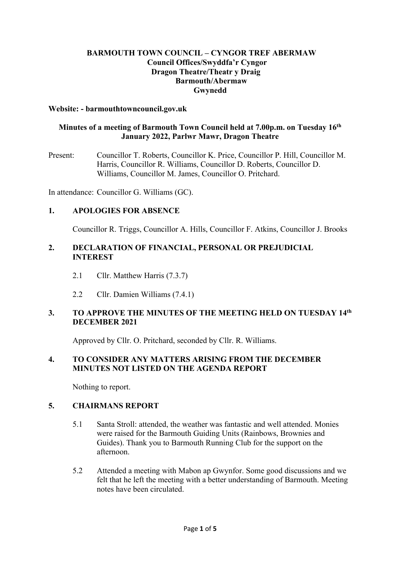## **BARMOUTH TOWN COUNCIL – CYNGOR TREF ABERMAW Council Offices/Swyddfa'r Cyngor Dragon Theatre/Theatr y Draig Barmouth/Abermaw Gwynedd**

### **Website: - barmouthtowncouncil.gov.uk**

## **Minutes of a meeting of Barmouth Town Council held at 7.00p.m. on Tuesday 16th January 2022, Parlwr Mawr, Dragon Theatre**

Present: Councillor T. Roberts, Councillor K. Price, Councillor P. Hill, Councillor M. Harris, Councillor R. Williams, Councillor D. Roberts, Councillor D. Williams, Councillor M. James, Councillor O. Pritchard.

In attendance: Councillor G. Williams (GC).

### **1. APOLOGIES FOR ABSENCE**

Councillor R. Triggs, Councillor A. Hills, Councillor F. Atkins, Councillor J. Brooks

## **2. DECLARATION OF FINANCIAL, PERSONAL OR PREJUDICIAL INTEREST**

- 2.1 Cllr. Matthew Harris (7.3.7)
- 2.2 Cllr. Damien Williams (7.4.1)

## **3. TO APPROVE THE MINUTES OF THE MEETING HELD ON TUESDAY 14th DECEMBER 2021**

Approved by Cllr. O. Pritchard, seconded by Cllr. R. Williams.

## **4. TO CONSIDER ANY MATTERS ARISING FROM THE DECEMBER MINUTES NOT LISTED ON THE AGENDA REPORT**

Nothing to report.

## **5. CHAIRMANS REPORT**

- 5.1 Santa Stroll: attended, the weather was fantastic and well attended. Monies were raised for the Barmouth Guiding Units (Rainbows, Brownies and Guides). Thank you to Barmouth Running Club for the support on the afternoon.
- 5.2 Attended a meeting with Mabon ap Gwynfor. Some good discussions and we felt that he left the meeting with a better understanding of Barmouth. Meeting notes have been circulated.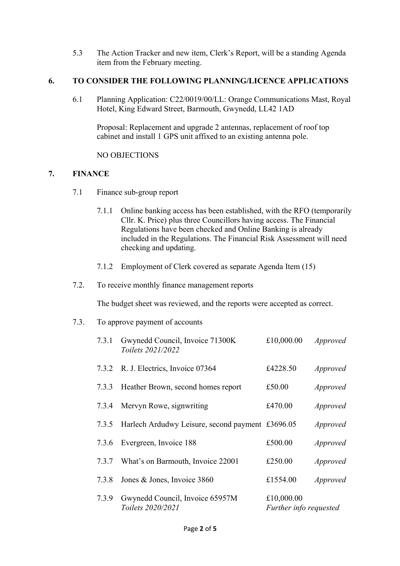5.3 The Action Tracker and new item, Clerk's Report, will be a standing Agenda item from the February meeting.

## **6. TO CONSIDER THE FOLLOWING PLANNING/LICENCE APPLICATIONS**

6.1 Planning Application: C22/0019/00/LL: Orange Communications Mast, Royal Hotel, King Edward Street, Barmouth, Gwynedd, LL42 1AD

Proposal: Replacement and upgrade 2 antennas, replacement of roof top cabinet and install 1 GPS unit affixed to an existing antenna pole.

NO OBJECTIONS

## **7. FINANCE**

- 7.1 Finance sub-group report
	- 7.1.1 Online banking access has been established, with the RFO (temporarily Cllr. K. Price) plus three Councillors having access. The Financial Regulations have been checked and Online Banking is already included in the Regulations. The Financial Risk Assessment will need checking and updating.
	- 7.1.2 Employment of Clerk covered as separate Agenda Item (15)
- 7.2. To receive monthly finance management reports

The budget sheet was reviewed, and the reports were accepted as correct.

7.3. To approve payment of accounts

| 7.3.1 | Gwynedd Council, Invoice 71300K<br>Toilets 2021/2022   | £10,000.00                           | Approved        |
|-------|--------------------------------------------------------|--------------------------------------|-----------------|
| 7.3.2 | R. J. Electrics, Invoice 07364                         | £4228.50                             | <i>Approved</i> |
|       | 7.3.3 Heather Brown, second homes report               | £50.00                               | <i>Approved</i> |
|       | 7.3.4 Mervyn Rowe, signwriting                         | £470.00                              | <i>Approved</i> |
|       | 7.3.5 Harlech Ardudwy Leisure, second payment £3696.05 |                                      | Approved        |
| 7.3.6 | Evergreen, Invoice 188                                 | £500.00                              | <i>Approved</i> |
| 7.3.7 | What's on Barmouth, Invoice 22001                      | £250.00                              | <i>Approved</i> |
| 7.3.8 | Jones & Jones, Invoice 3860                            | £1554.00                             | <i>Approved</i> |
| 7.3.9 | Gwynedd Council, Invoice 65957M<br>Toilets 2020/2021   | £10,000.00<br>Further info requested |                 |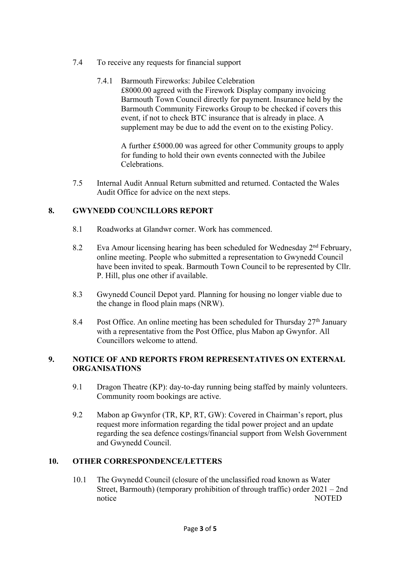- 7.4 To receive any requests for financial support
	- 7.4.1 Barmouth Fireworks: Jubilee Celebration £8000.00 agreed with the Firework Display company invoicing Barmouth Town Council directly for payment. Insurance held by the Barmouth Community Fireworks Group to be checked if covers this event, if not to check BTC insurance that is already in place. A supplement may be due to add the event on to the existing Policy.

A further £5000.00 was agreed for other Community groups to apply for funding to hold their own events connected with the Jubilee Celebrations.

7.5 Internal Audit Annual Return submitted and returned. Contacted the Wales Audit Office for advice on the next steps.

## **8. GWYNEDD COUNCILLORS REPORT**

- 8.1 Roadworks at Glandwr corner. Work has commenced.
- 8.2 Eva Amour licensing hearing has been scheduled for Wednesday  $2<sup>nd</sup>$  February, online meeting. People who submitted a representation to Gwynedd Council have been invited to speak. Barmouth Town Council to be represented by Cllr. P. Hill, plus one other if available.
- 8.3 Gwynedd Council Depot yard. Planning for housing no longer viable due to the change in flood plain maps (NRW).
- 8.4 Post Office. An online meeting has been scheduled for Thursday  $27<sup>th</sup>$  January with a representative from the Post Office, plus Mabon ap Gwynfor. All Councillors welcome to attend.

## **9. NOTICE OF AND REPORTS FROM REPRESENTATIVES ON EXTERNAL ORGANISATIONS**

- 9.1 Dragon Theatre (KP): day-to-day running being staffed by mainly volunteers. Community room bookings are active.
- 9.2 Mabon ap Gwynfor (TR, KP, RT, GW): Covered in Chairman's report, plus request more information regarding the tidal power project and an update regarding the sea defence costings/financial support from Welsh Government and Gwynedd Council.

## **10. OTHER CORRESPONDENCE/LETTERS**

10.1 The Gwynedd Council (closure of the unclassified road known as Water Street, Barmouth) (temporary prohibition of through traffic) order 2021 – 2nd notice NOTED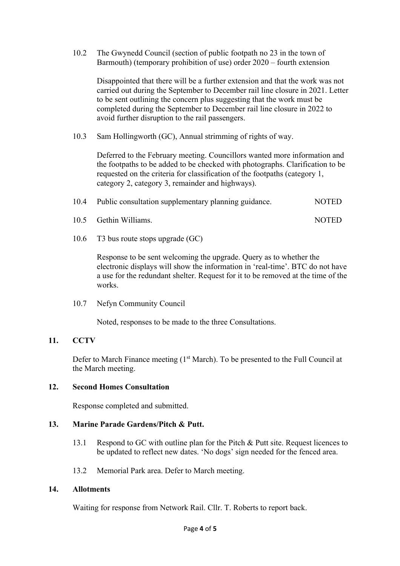10.2 The Gwynedd Council (section of public footpath no 23 in the town of Barmouth) (temporary prohibition of use) order 2020 – fourth extension

Disappointed that there will be a further extension and that the work was not carried out during the September to December rail line closure in 2021. Letter to be sent outlining the concern plus suggesting that the work must be completed during the September to December rail line closure in 2022 to avoid further disruption to the rail passengers.

10.3 Sam Hollingworth (GC), Annual strimming of rights of way.

Deferred to the February meeting. Councillors wanted more information and the footpaths to be added to be checked with photographs. Clarification to be requested on the criteria for classification of the footpaths (category 1, category 2, category 3, remainder and highways).

| 10.4 | Public consultation supplementary planning guidance. |  |  |  | <b>NOTED</b> |
|------|------------------------------------------------------|--|--|--|--------------|
|------|------------------------------------------------------|--|--|--|--------------|

- 10.5 Gethin Williams. NOTED
- 10.6 T3 bus route stops upgrade (GC)

Response to be sent welcoming the upgrade. Query as to whether the electronic displays will show the information in 'real-time'. BTC do not have a use for the redundant shelter. Request for it to be removed at the time of the works.

10.7 Nefyn Community Council

Noted, responses to be made to the three Consultations.

### **11. CCTV**

Defer to March Finance meeting (1<sup>st</sup> March). To be presented to the Full Council at the March meeting.

### **12. Second Homes Consultation**

Response completed and submitted.

### **13. Marine Parade Gardens/Pitch & Putt.**

- 13.1 Respond to GC with outline plan for the Pitch & Putt site. Request licences to be updated to reflect new dates. 'No dogs' sign needed for the fenced area.
- 13.2 Memorial Park area. Defer to March meeting.

### **14. Allotments**

Waiting for response from Network Rail. Cllr. T. Roberts to report back.